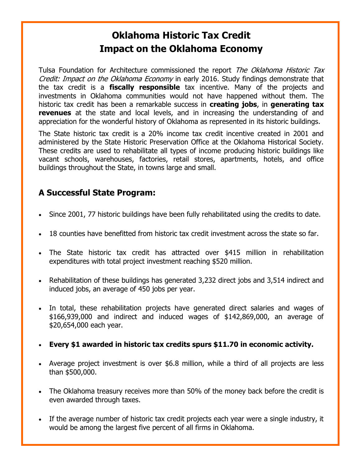## **Oklahoma Historic Tax Credit Impact on the Oklahoma Economy**

Tulsa Foundation for Architecture commissioned the report *The Oklahoma Historic Tax* Credit: Impact on the Oklahoma Economy in early 2016. Study findings demonstrate that the tax credit is a **fiscally responsible** tax incentive. Many of the projects and investments in Oklahoma communities would not have happened without them. The historic tax credit has been a remarkable success in **creating jobs**, in **generating tax revenues** at the state and local levels, and in increasing the understanding of and appreciation for the wonderful history of Oklahoma as represented in its historic buildings.

The State historic tax credit is a 20% income tax credit incentive created in 2001 and administered by the State Historic Preservation Office at the Oklahoma Historical Society. These credits are used to rehabilitate all types of income producing historic buildings like vacant schools, warehouses, factories, retail stores, apartments, hotels, and office buildings throughout the State, in towns large and small.

## **A Successful State Program:**

- Since 2001, 77 historic buildings have been fully rehabilitated using the credits to date.
- 18 counties have benefitted from historic tax credit investment across the state so far.
- The State historic tax credit has attracted over \$415 million in rehabilitation expenditures with total project investment reaching \$520 million.
- Rehabilitation of these buildings has generated 3,232 direct jobs and 3,514 indirect and induced jobs, an average of 450 jobs per year.
- In total, these rehabilitation projects have generated direct salaries and wages of \$166,939,000 and indirect and induced wages of \$142,869,000, an average of \$20,654,000 each year.
- **Every \$1 awarded in historic tax credits spurs \$11.70 in economic activity.**
- Average project investment is over \$6.8 million, while a third of all projects are less than \$500,000.
- The Oklahoma treasury receives more than 50% of the money back before the credit is even awarded through taxes.
- If the average number of historic tax credit projects each year were a single industry, it would be among the largest five percent of all firms in Oklahoma.